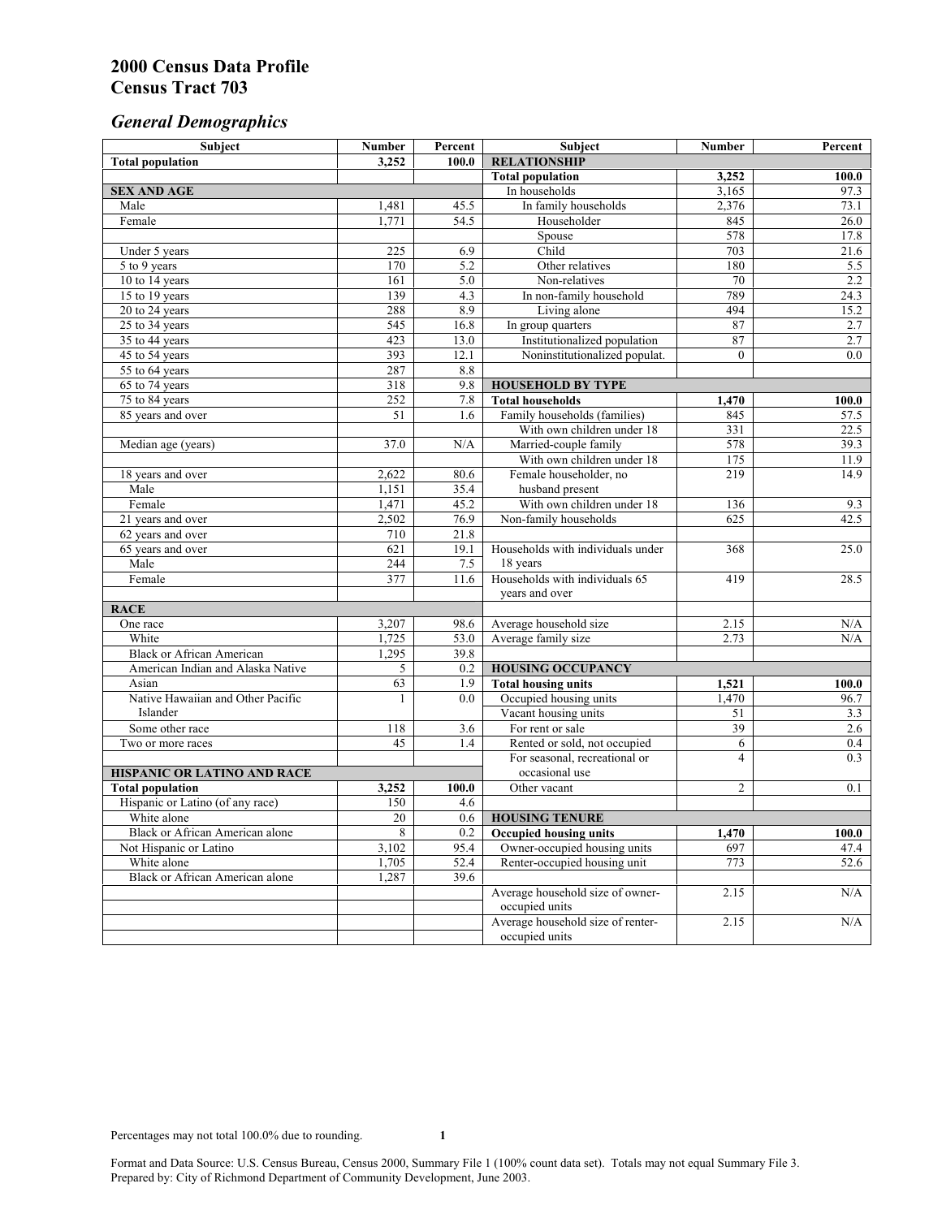# *General Demographics*

| Subject                                | <b>Number</b> | Percent    | Subject                                             | Number         | Percent                 |
|----------------------------------------|---------------|------------|-----------------------------------------------------|----------------|-------------------------|
| <b>Total population</b>                | 3,252         | 100.0      | <b>RELATIONSHIP</b>                                 |                |                         |
|                                        |               |            | <b>Total population</b>                             | 3,252          | 100.0                   |
| <b>SEX AND AGE</b>                     |               |            | In households                                       | 3,165          | 97.3                    |
| Male                                   | 1,481         | 45.5       | In family households                                | 2,376          | 73.1                    |
| Female                                 | 1,771         | 54.5       | Householder                                         | 845            | 26.0                    |
|                                        |               |            | Spouse                                              | 578            | 17.8                    |
| Under 5 years                          | 225           | 6.9        | Child                                               | 703            | 21.6                    |
| 5 to 9 years                           | 170           | 5.2        | Other relatives                                     | 180            | 5.5                     |
| 10 to 14 years                         | 161           | 5.0        | Non-relatives                                       | 70             | 2.2                     |
| 15 to 19 years                         | 139           | 4.3        | In non-family household                             | 789            | 24.3                    |
| 20 to 24 years                         | 288           | 8.9        | Living alone                                        | 494            | 15.2                    |
| $25$ to $34$ years                     | 545           | 16.8       | In group quarters                                   | 87             | 2.7                     |
| 35 to 44 years                         | 423           | 13.0       | Institutionalized population                        | 87             | 2.7<br>$\overline{0.0}$ |
| 45 to 54 years                         | 393           | 12.1       | Noninstitutionalized populat.                       | $\overline{0}$ |                         |
| 55 to 64 years                         | 287<br>318    | 8.8<br>9.8 |                                                     |                |                         |
| 65 to 74 years                         |               | 7.8        | <b>HOUSEHOLD BY TYPE</b><br><b>Total households</b> |                |                         |
| 75 to 84 years                         | 252<br>51     | 1.6        | Family households (families)                        | 1,470<br>845   | 100.0<br>57.5           |
| 85 years and over                      |               |            | With own children under 18                          | 331            | 22.5                    |
| Median age (years)                     | 37.0          | N/A        | Married-couple family                               | 578            | 39.3                    |
|                                        |               |            | With own children under 18                          | 175            | 11.9                    |
| 18 years and over                      | 2,622         | 80.6       | Female householder, no                              | 219            | 14.9                    |
| Male                                   | 1,151         | 35.4       | husband present                                     |                |                         |
| Female                                 | 1,471         | 45.2       | With own children under 18                          | 136            | 9.3                     |
| 21 years and over                      | 2,502         | 76.9       | Non-family households                               | 625            | 42.5                    |
| 62 years and over                      | 710           | 21.8       |                                                     |                |                         |
| 65 years and over                      | 621           | 19.1       | Households with individuals under                   | 368            | 25.0                    |
| Male                                   | 244           | 7.5        | 18 years                                            |                |                         |
| Female                                 | 377           | 11.6       | Households with individuals 65                      | 419            | 28.5                    |
|                                        |               |            | years and over                                      |                |                         |
| <b>RACE</b>                            |               |            |                                                     |                |                         |
| One race                               | 3,207         | 98.6       | Average household size                              | 2.15           | N/A                     |
| White                                  | 1,725         | 53.0       | Average family size                                 | 2.73           | N/A                     |
| <b>Black or African American</b>       | 1,295         | 39.8       |                                                     |                |                         |
| American Indian and Alaska Native      | 5             | 0.2        | <b>HOUSING OCCUPANCY</b>                            |                |                         |
| Asian                                  | 63            | 1.9        | <b>Total housing units</b>                          | 1,521          | 100.0                   |
| Native Hawaiian and Other Pacific      | 1             | 0.0        | Occupied housing units                              | 1,470          | 96.7                    |
| Islander                               |               |            | Vacant housing units                                | 51             | 3.3                     |
| Some other race                        | 118           | 3.6        | For rent or sale                                    | 39             | 2.6                     |
| Two or more races                      | 45            | 1.4        | Rented or sold, not occupied                        | 6              | 0.4                     |
|                                        |               |            | For seasonal, recreational or                       | $\overline{4}$ | 0.3                     |
| HISPANIC OR LATINO AND RACE            |               |            | occasional use                                      |                |                         |
| <b>Total population</b>                | 3,252         | 100.0      | Other vacant                                        | $\overline{c}$ | 0.1                     |
| Hispanic or Latino (of any race)       | 150           | 4.6        |                                                     |                |                         |
| White alone                            | 20            | 0.6        | <b>HOUSING TENURE</b>                               |                |                         |
| Black or African American alone        | 8             | 0.2        | <b>Occupied housing units</b>                       | 1,470          | 100.0                   |
| Not Hispanic or Latino                 | 3,102         | 95.4       | Owner-occupied housing units                        | 697            | 47.4                    |
| White alone                            | 1,705         | 52.4       | Renter-occupied housing unit                        | 773            | 52.6                    |
| <b>Black or African American alone</b> | 1,287         | 39.6       |                                                     |                |                         |
|                                        |               |            | Average household size of owner-                    | 2.15           | N/A                     |
|                                        |               |            | occupied units                                      |                |                         |
|                                        |               |            | Average household size of renter-                   | 2.15           | N/A                     |
|                                        |               |            | occupied units                                      |                |                         |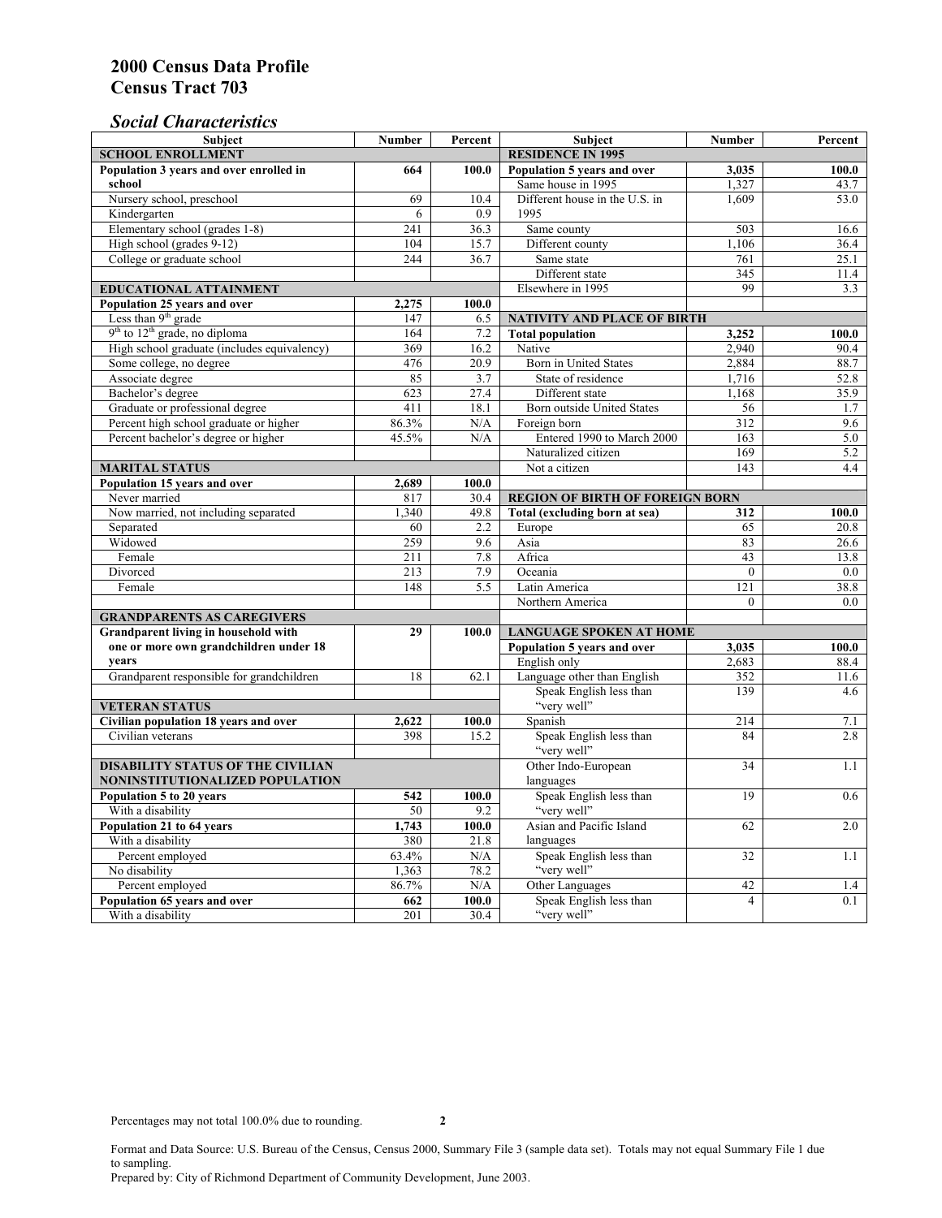### *Social Characteristics*

| <b>Subject</b>                                             | <b>Number</b>            | Percent       | Subject                                                | Number           | Percent          |
|------------------------------------------------------------|--------------------------|---------------|--------------------------------------------------------|------------------|------------------|
| <b>SCHOOL ENROLLMENT</b>                                   | <b>RESIDENCE IN 1995</b> |               |                                                        |                  |                  |
| Population 3 years and over enrolled in                    | 664                      | 100.0         | Population 5 years and over                            | 3,035            | 100.0            |
| school                                                     |                          |               | Same house in 1995                                     | 1,327            | 43.7             |
| Nursery school, preschool                                  | 69                       | 10.4          | Different house in the U.S. in                         | 1.609            | 53.0             |
| Kindergarten                                               | 6                        | 0.9           | 1995                                                   |                  |                  |
| Elementary school (grades 1-8)                             | 241                      | 36.3          | Same county                                            | 503              | 16.6             |
| High school (grades 9-12)                                  | 104                      | 15.7          | Different county                                       | 1,106            | 36.4             |
| College or graduate school                                 | 244                      | 36.7          | Same state                                             | 761              | 25.1             |
|                                                            |                          |               | Different state                                        | 345              | 11.4             |
| <b>EDUCATIONAL ATTAINMENT</b>                              |                          |               | Elsewhere in 1995                                      | 99               | 3.3              |
| Population 25 years and over                               | 2,275                    | 100.0         |                                                        |                  |                  |
| Less than 9 <sup>th</sup> grade                            | 147                      | 6.5           | NATIVITY AND PLACE OF BIRTH                            |                  |                  |
| $9th$ to $12th$ grade, no diploma                          | 164                      | 7.2           | <b>Total population</b>                                | 3,252            | 100.0            |
| High school graduate (includes equivalency)                | 369                      | 16.2          | Native                                                 | 2.940            | 90.4             |
| Some college, no degree                                    | 476                      | 20.9          | Born in United States                                  | 2,884            | 88.7             |
| Associate degree                                           | 85                       | 3.7           | State of residence                                     | 1,716            | 52.8             |
| Bachelor's degree                                          | 623                      | 27.4          | Different state                                        | 1,168            | 35.9             |
| Graduate or professional degree                            | $\overline{411}$         | 18.1          | Born outside United States                             | 56               | 1.7              |
| Percent high school graduate or higher                     | 86.3%                    | N/A           | Foreign born                                           | $\overline{312}$ | 9.6              |
| Percent bachelor's degree or higher                        | 45.5%                    | N/A           | Entered 1990 to March 2000                             | 163              | 5.0              |
|                                                            |                          |               | Naturalized citizen                                    | 169              | $\overline{5.2}$ |
| <b>MARITAL STATUS</b>                                      |                          |               | Not a citizen                                          | 143              | 4.4              |
| Population 15 years and over                               | 2,689                    | 100.0         |                                                        |                  |                  |
| Never married                                              | 817                      | 30.4          | <b>REGION OF BIRTH OF FOREIGN BORN</b>                 |                  |                  |
| Now married, not including separated                       | 1,340                    | 49.8          | Total (excluding born at sea)                          | 312              | 100.0            |
| Separated                                                  | 60                       | 2.2           | Europe                                                 | 65               | 20.8             |
| Widowed                                                    | 259                      | 9.6           | Asia                                                   | 83               | 26.6             |
| Female                                                     | 211                      | 7.8           | Africa                                                 | 43               | 13.8             |
| Divorced                                                   | 213                      | 7.9           | Oceania                                                | $\theta$         | 0.0              |
| Female                                                     | 148                      | 5.5           | Latin America                                          | 121              | 38.8             |
|                                                            |                          |               | Northern America                                       | $\overline{0}$   | 0.0              |
| <b>GRANDPARENTS AS CAREGIVERS</b>                          |                          |               |                                                        |                  |                  |
| Grandparent living in household with<br>29                 |                          | 100.0         | <b>LANGUAGE SPOKEN AT HOME</b><br>100.0                |                  |                  |
| one or more own grandchildren under 18<br>vears            |                          |               | Population 5 years and over                            | 3,035            |                  |
|                                                            |                          |               | English only                                           | 2,683            | 88.4             |
| Grandparent responsible for grandchildren                  | 18                       | 62.1          | Language other than English<br>Speak English less than | 352              | 11.6             |
|                                                            |                          |               |                                                        | 139              | 4.6              |
| <b>VETERAN STATUS</b>                                      |                          |               | "very well"                                            |                  |                  |
| Civilian population 18 years and over<br>Civilian veterans | 2,622<br>398             | 100.0<br>15.2 | Spanish<br>Speak English less than                     | 214<br>84        | 7.1<br>2.8       |
|                                                            |                          |               | "very well"                                            |                  |                  |
| <b>DISABILITY STATUS OF THE CIVILIAN</b>                   |                          |               | Other Indo-European                                    | 34               | 1.1              |
| NONINSTITUTIONALIZED POPULATION                            | languages                |               |                                                        |                  |                  |
| Population 5 to 20 years                                   | 542                      | 100.0         | Speak English less than                                | 19               | 0.6              |
| With a disability                                          | 50                       | 9.2           | "very well"                                            |                  |                  |
| Population 21 to 64 years                                  | 1.743                    | 100.0         | Asian and Pacific Island                               | 62               | 2.0              |
| With a disability                                          | 380                      | 21.8          | languages                                              |                  |                  |
| Percent employed                                           | 63.4%                    | N/A           | Speak English less than                                | 32               | 1.1              |
| No disability                                              | 1,363                    | 78.2          | "very well"                                            |                  |                  |
| Percent employed                                           | 86.7%                    | N/A           | Other Languages                                        | 42               | 1.4              |
| Population 65 years and over                               | 662                      | 100.0         | Speak English less than                                | $\overline{4}$   | 0.1              |
| With a disability                                          | 201                      | 30.4          | "very well"                                            |                  |                  |

Format and Data Source: U.S. Bureau of the Census, Census 2000, Summary File 3 (sample data set). Totals may not equal Summary File 1 due to sampling. Prepared by: City of Richmond Department of Community Development, June 2003.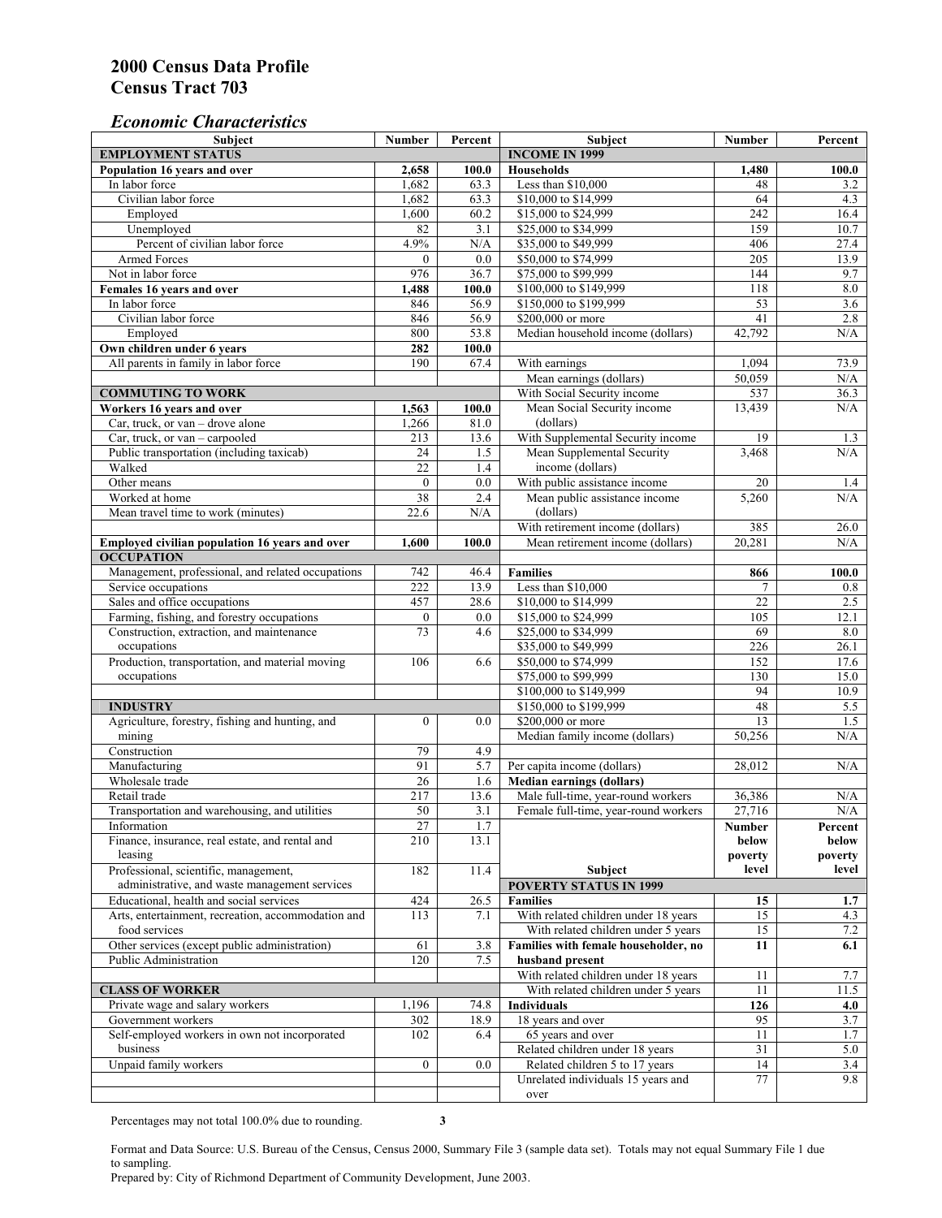#### *Economic Characteristics*

| <b>Subject</b>                                     | Number           | Percent | Subject                                    | Number           | Percent    |
|----------------------------------------------------|------------------|---------|--------------------------------------------|------------------|------------|
| <b>EMPLOYMENT STATUS</b>                           |                  |         | <b>INCOME IN 1999</b>                      |                  |            |
| Population 16 years and over                       | 2,658            | 100.0   | Households                                 | 1,480            | 100.0      |
| In labor force                                     | 1,682            | 63.3    | Less than \$10,000                         | 48               | 3.2        |
| Civilian labor force                               | 1,682            | 63.3    | \$10,000 to \$14,999                       | 64               | 4.3        |
| Employed                                           | 1,600            | 60.2    | \$15,000 to \$24,999                       | 242              | 16.4       |
| Unemployed                                         | 82               | 3.1     | \$25,000 to \$34,999                       | 159              | 10.7       |
| Percent of civilian labor force                    | 4.9%             | N/A     | \$35,000 to \$49,999                       | 406              | 27.4       |
| Armed Forces                                       | $\Omega$         | 0.0     | \$50,000 to \$74,999                       | $\overline{205}$ | 13.9       |
| Not in labor force                                 | 976              | 36.7    | \$75,000 to \$99,999                       | 144              | 9.7        |
| Females 16 years and over                          | 1,488            | 100.0   | \$100,000 to \$149,999                     | 118              | $\ \ 8.0$  |
| In labor force                                     | 846              | 56.9    | \$150,000 to \$199,999                     | $\overline{53}$  | 3.6        |
| Civilian labor force                               | 846              | 56.9    | \$200,000 or more                          | 41               | 2.8        |
| Employed                                           | 800              | 53.8    | Median household income (dollars)          | 42.792           | N/A        |
| Own children under 6 years                         | 282              | 100.0   |                                            |                  |            |
| All parents in family in labor force               | 190              | 67.4    | With earnings                              | 1,094            | 73.9       |
|                                                    |                  |         | Mean earnings (dollars)                    | 50,059           | N/A        |
| <b>COMMUTING TO WORK</b>                           |                  |         | With Social Security income                | 537              | 36.3       |
| Workers 16 years and over                          | 1,563            | 100.0   | Mean Social Security income                | 13,439           | N/A        |
| Car, truck, or van – drove alone                   | 1,266            | 81.0    | (dollars)                                  |                  |            |
| Car, truck, or van - carpooled                     | 213              | 13.6    | With Supplemental Security income          | 19               | 1.3        |
| Public transportation (including taxicab)          | 24               | 1.5     | Mean Supplemental Security                 | 3,468            | N/A        |
| Walked                                             | $\overline{22}$  | 1.4     | income (dollars)                           |                  |            |
| Other means                                        | $\boldsymbol{0}$ | 0.0     | With public assistance income              | 20               |            |
| Worked at home                                     | 38               | 2.4     |                                            | 5,260            | 1.4<br>N/A |
|                                                    |                  |         | Mean public assistance income<br>(dollars) |                  |            |
| Mean travel time to work (minutes)                 | 22.6             | N/A     |                                            |                  |            |
|                                                    |                  |         | With retirement income (dollars)           | 385              | 26.0       |
| Employed civilian population 16 years and over     | 1,600            | 100.0   | Mean retirement income (dollars)           | 20,281           | N/A        |
| <b>OCCUPATION</b>                                  |                  |         |                                            |                  |            |
| Management, professional, and related occupations  | 742              | 46.4    | <b>Families</b>                            | 866              | 100.0      |
| Service occupations                                | 222              | 13.9    | Less than \$10,000                         | 7                | 0.8        |
| Sales and office occupations                       | 457              | 28.6    | \$10,000 to \$14,999                       | 22               | 2.5        |
| Farming, fishing, and forestry occupations         | $\boldsymbol{0}$ | 0.0     | \$15,000 to \$24,999                       | 105              | 12.1       |
| Construction, extraction, and maintenance          | 73               | 4.6     | \$25,000 to \$34,999                       | 69               | 8.0        |
| occupations                                        |                  |         | \$35,000 to \$49,999                       | $\overline{226}$ | 26.1       |
| Production, transportation, and material moving    | 106              | 6.6     | \$50,000 to \$74,999                       | 152              | 17.6       |
| occupations                                        |                  |         | \$75,000 to \$99,999                       | 130              | 15.0       |
|                                                    |                  |         | \$100,000 to \$149,999                     | 94               | 10.9       |
| <b>INDUSTRY</b>                                    |                  |         | \$150,000 to \$199,999                     | 48               | 5.5        |
| Agriculture, forestry, fishing and hunting, and    | $\boldsymbol{0}$ | 0.0     | \$200,000 or more                          | 13               | 1.5        |
| mining                                             |                  |         | Median family income (dollars)             | 50,256           | N/A        |
| Construction                                       | 79               | 4.9     |                                            |                  |            |
| Manufacturing                                      | 91               | 5.7     | Per capita income (dollars)                | 28,012           | N/A        |
| Wholesale trade                                    | 26               | 1.6     | <b>Median earnings (dollars)</b>           |                  |            |
| Retail trade                                       | 217              | 13.6    | Male full-time, year-round workers         | 36,386           | N/A        |
| Transportation and warehousing, and utilities      | 50               | 3.1     | Female full-time, year-round workers       | 27,716           | N/A        |
| Information                                        | 27               | 1.7     |                                            | Number           | Percent    |
| Finance, insurance, real estate, and rental and    | 210              | 13.1    |                                            | below            | below      |
| leasing                                            |                  |         |                                            | poverty          | poverty    |
| Professional, scientific, management,              | 182              | 11.4    | Subject                                    | level            | level      |
| administrative, and waste management services      |                  |         | <b>POVERTY STATUS IN 1999</b>              |                  |            |
| Educational, health and social services            | 424              | 26.5    | <b>Families</b>                            | 15               | 1.7        |
| Arts, entertainment, recreation, accommodation and | 113              | 7.1     | With related children under 18 years       | 15               | 4.3        |
| food services                                      |                  |         | With related children under 5 years        | 15               | 7.2        |
| Other services (except public administration)      | 61               | 3.8     | Families with female householder, no       | 11               | 6.1        |
| Public Administration                              | 120              | 7.5     | husband present                            |                  |            |
|                                                    |                  |         | With related children under 18 years       | 11               | 7.7        |
| <b>CLASS OF WORKER</b>                             |                  |         | With related children under 5 years        | 11               | 11.5       |
| Private wage and salary workers                    | 1,196            | 74.8    | <b>Individuals</b>                         | 126              | 4.0        |
| Government workers                                 | 302              | 18.9    | 18 years and over                          | 95               | 3.7        |
| Self-employed workers in own not incorporated      | 102              | 6.4     | 65 years and over                          | 11               | 1.7        |
| business                                           |                  |         | Related children under 18 years            | 31               | 5.0        |
| Unpaid family workers                              | $\mathbf{0}$     | 0.0     | Related children 5 to 17 years             | 14               | 3.4        |
|                                                    |                  |         | Unrelated individuals 15 years and         | 77               | 9.8        |
|                                                    |                  |         |                                            |                  |            |
|                                                    |                  |         | over                                       |                  |            |

Percentages may not total 100.0% due to rounding. **3** 

Format and Data Source: U.S. Bureau of the Census, Census 2000, Summary File 3 (sample data set). Totals may not equal Summary File 1 due to sampling.

Prepared by: City of Richmond Department of Community Development, June 2003.